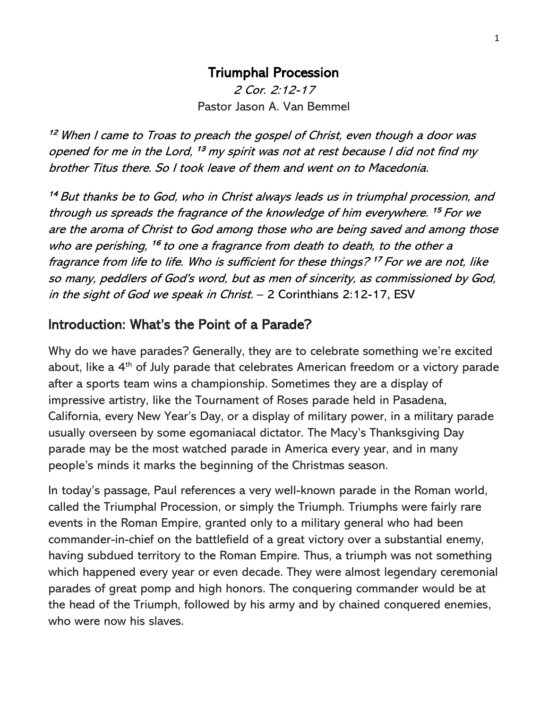### Triumphal Procession

2 Cor. 2:12-17 Pastor Jason A. Van Bemmel

<sup>12</sup> When I came to Troas to preach the gospel of Christ, even though a door was opened for me in the Lord, <sup>13</sup> my spirit was not at rest because I did not find my brother Titus there. So I took leave of them and went on to Macedonia.

<sup>14</sup> But thanks be to God, who in Christ always leads us in triumphal procession, and through us spreads the fragrance of the knowledge of him everywhere. <sup>15</sup> For we are the aroma of Christ to God among those who are being saved and among those who are perishing, <sup>16</sup> to one a fragrance from death to death, to the other a fragrance from life to life. Who is sufficient for these things? <sup>17</sup> For we are not, like so many, peddlers of God's word, but as men of sincerity, as commissioned by God, in the sight of God we speak in Christ. – 2 Corinthians 2:12-17, ESV

## Introduction: What's the Point of a Parade?

Why do we have parades? Generally, they are to celebrate something we're excited about, like a 4<sup>th</sup> of July parade that celebrates American freedom or a victory parade after a sports team wins a championship. Sometimes they are a display of impressive artistry, like the Tournament of Roses parade held in Pasadena, California, every New Year's Day, or a display of military power, in a military parade usually overseen by some egomaniacal dictator. The Macy's Thanksgiving Day parade may be the most watched parade in America every year, and in many people's minds it marks the beginning of the Christmas season.

In today's passage, Paul references a very well-known parade in the Roman world, called the Triumphal Procession, or simply the Triumph. Triumphs were fairly rare events in the Roman Empire, granted only to a military general who had been commander-in-chief on the battlefield of a great victory over a substantial enemy, having subdued territory to the Roman Empire. Thus, a triumph was not something which happened every year or even decade. They were almost legendary ceremonial parades of great pomp and high honors. The conquering commander would be at the head of the Triumph, followed by his army and by chained conquered enemies, who were now his slaves.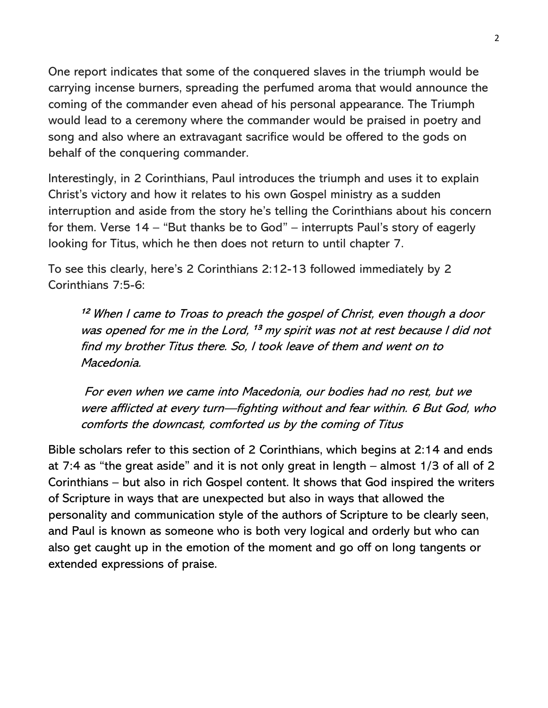One report indicates that some of the conquered slaves in the triumph would be carrying incense burners, spreading the perfumed aroma that would announce the coming of the commander even ahead of his personal appearance. The Triumph would lead to a ceremony where the commander would be praised in poetry and song and also where an extravagant sacrifice would be offered to the gods on behalf of the conquering commander.

Interestingly, in 2 Corinthians, Paul introduces the triumph and uses it to explain Christ's victory and how it relates to his own Gospel ministry as a sudden interruption and aside from the story he's telling the Corinthians about his concern for them. Verse 14 – "But thanks be to God" – interrupts Paul's story of eagerly looking for Titus, which he then does not return to until chapter 7.

To see this clearly, here's 2 Corinthians 2:12-13 followed immediately by 2 Corinthians 7:5-6:

<sup>12</sup> When I came to Troas to preach the gospel of Christ, even though a door was opened for me in the Lord, <sup>13</sup> my spirit was not at rest because I did not find my brother Titus there. So, I took leave of them and went on to Macedonia.

For even when we came into Macedonia, our bodies had no rest, but we were afflicted at every turn—fighting without and fear within. 6 But God, who comforts the downcast, comforted us by the coming of Titus

Bible scholars refer to this section of 2 Corinthians, which begins at 2:14 and ends at 7:4 as "the great aside" and it is not only great in length – almost 1/3 of all of 2 Corinthians – but also in rich Gospel content. It shows that God inspired the writers of Scripture in ways that are unexpected but also in ways that allowed the personality and communication style of the authors of Scripture to be clearly seen, and Paul is known as someone who is both very logical and orderly but who can also get caught up in the emotion of the moment and go off on long tangents or extended expressions of praise.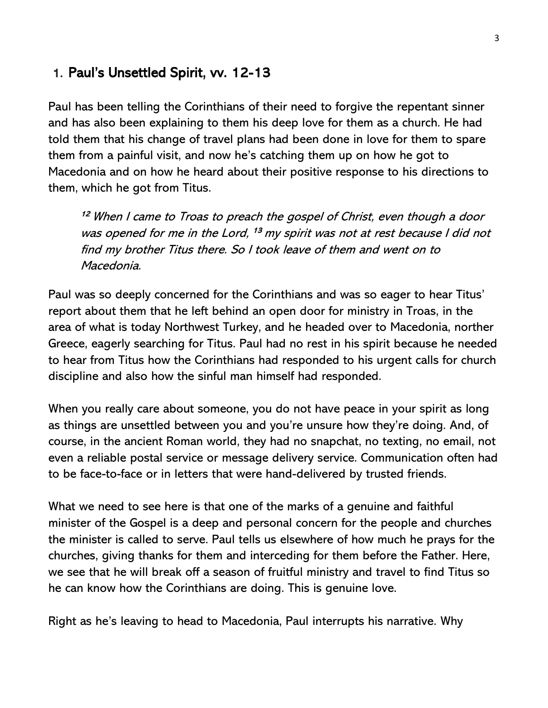#### 1. Paul's Unsettled Spirit, vv. 12-13

Paul has been telling the Corinthians of their need to forgive the repentant sinner and has also been explaining to them his deep love for them as a church. He had told them that his change of travel plans had been done in love for them to spare them from a painful visit, and now he's catching them up on how he got to Macedonia and on how he heard about their positive response to his directions to them, which he got from Titus.

<sup>12</sup> When I came to Troas to preach the gospel of Christ, even though a door was opened for me in the Lord, <sup>13</sup> my spirit was not at rest because I did not find my brother Titus there. So I took leave of them and went on to Macedonia.

Paul was so deeply concerned for the Corinthians and was so eager to hear Titus' report about them that he left behind an open door for ministry in Troas, in the area of what is today Northwest Turkey, and he headed over to Macedonia, norther Greece, eagerly searching for Titus. Paul had no rest in his spirit because he needed to hear from Titus how the Corinthians had responded to his urgent calls for church discipline and also how the sinful man himself had responded.

When you really care about someone, you do not have peace in your spirit as long as things are unsettled between you and you're unsure how they're doing. And, of course, in the ancient Roman world, they had no snapchat, no texting, no email, not even a reliable postal service or message delivery service. Communication often had to be face-to-face or in letters that were hand-delivered by trusted friends.

What we need to see here is that one of the marks of a genuine and faithful minister of the Gospel is a deep and personal concern for the people and churches the minister is called to serve. Paul tells us elsewhere of how much he prays for the churches, giving thanks for them and interceding for them before the Father. Here, we see that he will break off a season of fruitful ministry and travel to find Titus so he can know how the Corinthians are doing. This is genuine love.

Right as he's leaving to head to Macedonia, Paul interrupts his narrative. Why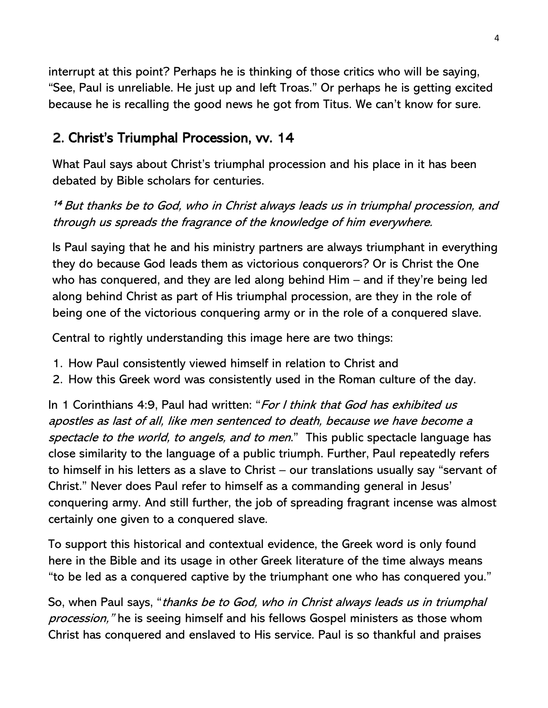interrupt at this point? Perhaps he is thinking of those critics who will be saying, "See, Paul is unreliable. He just up and left Troas." Or perhaps he is getting excited because he is recalling the good news he got from Titus. We can't know for sure.

# 2. Christ's Triumphal Procession, vv. 14

What Paul says about Christ's triumphal procession and his place in it has been debated by Bible scholars for centuries.

<sup>14</sup> But thanks be to God, who in Christ always leads us in triumphal procession, and through us spreads the fragrance of the knowledge of him everywhere.

Is Paul saying that he and his ministry partners are always triumphant in everything they do because God leads them as victorious conquerors? Or is Christ the One who has conquered, and they are led along behind Him – and if they're being led along behind Christ as part of His triumphal procession, are they in the role of being one of the victorious conquering army or in the role of a conquered slave.

Central to rightly understanding this image here are two things:

- 1. How Paul consistently viewed himself in relation to Christ and
- 2. How this Greek word was consistently used in the Roman culture of the day.

In 1 Corinthians 4:9, Paul had written: "For I think that God has exhibited us apostles as last of all, like men sentenced to death, because we have become a spectacle to the world, to angels, and to men." This public spectacle language has close similarity to the language of a public triumph. Further, Paul repeatedly refers to himself in his letters as a slave to Christ – our translations usually say "servant of Christ." Never does Paul refer to himself as a commanding general in Jesus' conquering army. And still further, the job of spreading fragrant incense was almost certainly one given to a conquered slave.

To support this historical and contextual evidence, the Greek word is only found here in the Bible and its usage in other Greek literature of the time always means "to be led as a conquered captive by the triumphant one who has conquered you."

So, when Paul says, "thanks be to God, who in Christ always leads us in triumphal procession," he is seeing himself and his fellows Gospel ministers as those whom Christ has conquered and enslaved to His service. Paul is so thankful and praises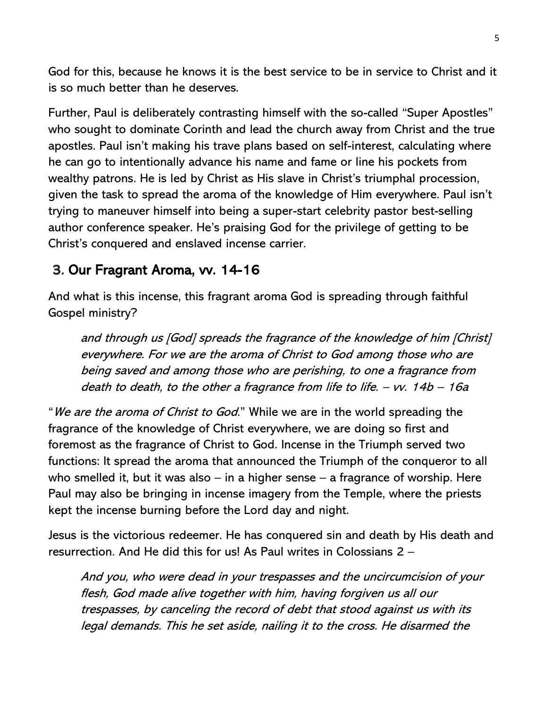God for this, because he knows it is the best service to be in service to Christ and it is so much better than he deserves.

Further, Paul is deliberately contrasting himself with the so-called "Super Apostles" who sought to dominate Corinth and lead the church away from Christ and the true apostles. Paul isn't making his trave plans based on self-interest, calculating where he can go to intentionally advance his name and fame or line his pockets from wealthy patrons. He is led by Christ as His slave in Christ's triumphal procession, given the task to spread the aroma of the knowledge of Him everywhere. Paul isn't trying to maneuver himself into being a super-start celebrity pastor best-selling author conference speaker. He's praising God for the privilege of getting to be Christ's conquered and enslaved incense carrier.

## 3. Our Fragrant Aroma, vv. 14-16

And what is this incense, this fragrant aroma God is spreading through faithful Gospel ministry?

and through us [God] spreads the fragrance of the knowledge of him [Christ] everywhere. For we are the aroma of Christ to God among those who are being saved and among those who are perishing, to one a fragrance from death to death, to the other a fragrance from life to life.  $-$  vv. 14b  $-$  16a

"We are the aroma of Christ to God." While we are in the world spreading the fragrance of the knowledge of Christ everywhere, we are doing so first and foremost as the fragrance of Christ to God. Incense in the Triumph served two functions: It spread the aroma that announced the Triumph of the conqueror to all who smelled it, but it was also – in a higher sense – a fragrance of worship. Here Paul may also be bringing in incense imagery from the Temple, where the priests kept the incense burning before the Lord day and night.

Jesus is the victorious redeemer. He has conquered sin and death by His death and resurrection. And He did this for us! As Paul writes in Colossians 2 –

And you, who were dead in your trespasses and the uncircumcision of your flesh, God made alive together with him, having forgiven us all our trespasses, by canceling the record of debt that stood against us with its legal demands. This he set aside, nailing it to the cross. He disarmed the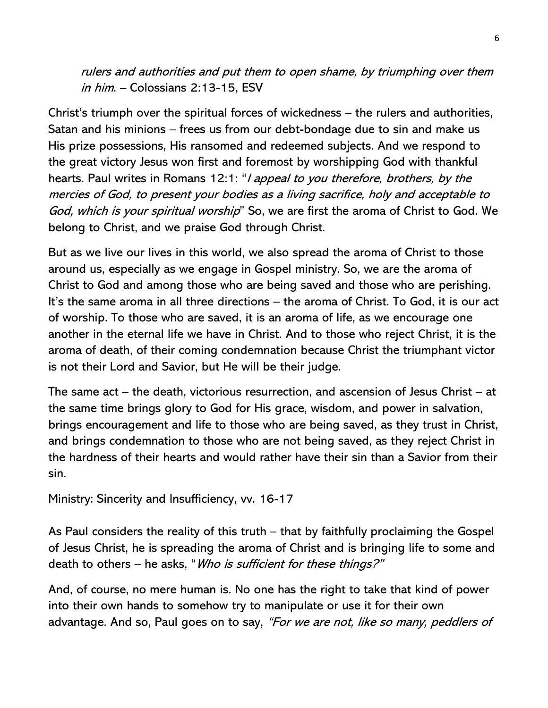rulers and authorities and put them to open shame, by triumphing over them in him. – Colossians 2:13-15, ESV

Christ's triumph over the spiritual forces of wickedness – the rulers and authorities, Satan and his minions – frees us from our debt-bondage due to sin and make us His prize possessions, His ransomed and redeemed subjects. And we respond to the great victory Jesus won first and foremost by worshipping God with thankful hearts. Paul writes in Romans 12:1: "*I appeal to you therefore, brothers, by the* mercies of God, to present your bodies as a living sacrifice, holy and acceptable to God, which is your spiritual worship" So, we are first the aroma of Christ to God. We belong to Christ, and we praise God through Christ.

But as we live our lives in this world, we also spread the aroma of Christ to those around us, especially as we engage in Gospel ministry. So, we are the aroma of Christ to God and among those who are being saved and those who are perishing. It's the same aroma in all three directions – the aroma of Christ. To God, it is our act of worship. To those who are saved, it is an aroma of life, as we encourage one another in the eternal life we have in Christ. And to those who reject Christ, it is the aroma of death, of their coming condemnation because Christ the triumphant victor is not their Lord and Savior, but He will be their judge.

The same act – the death, victorious resurrection, and ascension of Jesus Christ – at the same time brings glory to God for His grace, wisdom, and power in salvation, brings encouragement and life to those who are being saved, as they trust in Christ, and brings condemnation to those who are not being saved, as they reject Christ in the hardness of their hearts and would rather have their sin than a Savior from their sin.

Ministry: Sincerity and Insufficiency, vv. 16-17

As Paul considers the reality of this truth – that by faithfully proclaiming the Gospel of Jesus Christ, he is spreading the aroma of Christ and is bringing life to some and death to others – he asks, "*Who is sufficient for these things?"* 

And, of course, no mere human is. No one has the right to take that kind of power into their own hands to somehow try to manipulate or use it for their own advantage. And so, Paul goes on to say, "For we are not, like so many, peddlers of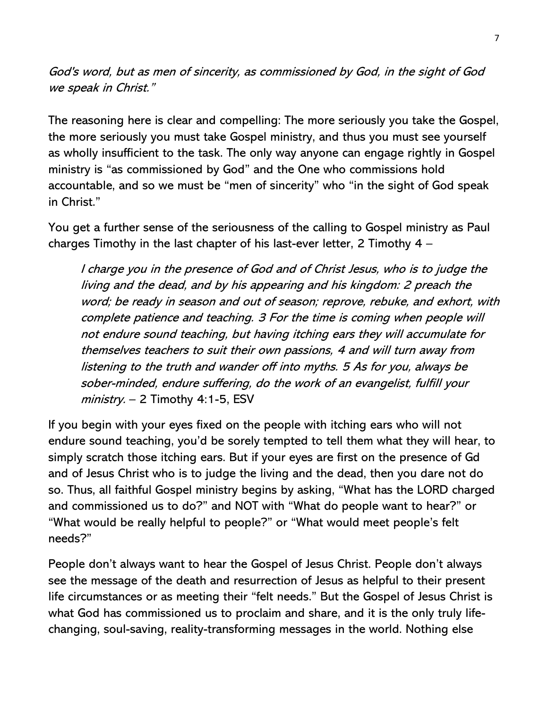God's word, but as men of sincerity, as commissioned by God, in the sight of God we speak in Christ."

The reasoning here is clear and compelling: The more seriously you take the Gospel, the more seriously you must take Gospel ministry, and thus you must see yourself as wholly insufficient to the task. The only way anyone can engage rightly in Gospel ministry is "as commissioned by God" and the One who commissions hold accountable, and so we must be "men of sincerity" who "in the sight of God speak in Christ."

You get a further sense of the seriousness of the calling to Gospel ministry as Paul charges Timothy in the last chapter of his last-ever letter, 2 Timothy 4 –

I charge you in the presence of God and of Christ Jesus, who is to judge the living and the dead, and by his appearing and his kingdom: 2 preach the word; be ready in season and out of season; reprove, rebuke, and exhort, with complete patience and teaching. 3 For the time is coming when people will not endure sound teaching, but having itching ears they will accumulate for themselves teachers to suit their own passions, 4 and will turn away from listening to the truth and wander off into myths. 5 As for you, always be sober-minded, endure suffering, do the work of an evangelist, fulfill your  $ministry. - 2 Timothy 4:1-5, ESV$ 

If you begin with your eyes fixed on the people with itching ears who will not endure sound teaching, you'd be sorely tempted to tell them what they will hear, to simply scratch those itching ears. But if your eyes are first on the presence of Gd and of Jesus Christ who is to judge the living and the dead, then you dare not do so. Thus, all faithful Gospel ministry begins by asking, "What has the LORD charged and commissioned us to do?" and NOT with "What do people want to hear?" or "What would be really helpful to people?" or "What would meet people's felt needs?"

People don't always want to hear the Gospel of Jesus Christ. People don't always see the message of the death and resurrection of Jesus as helpful to their present life circumstances or as meeting their "felt needs." But the Gospel of Jesus Christ is what God has commissioned us to proclaim and share, and it is the only truly lifechanging, soul-saving, reality-transforming messages in the world. Nothing else